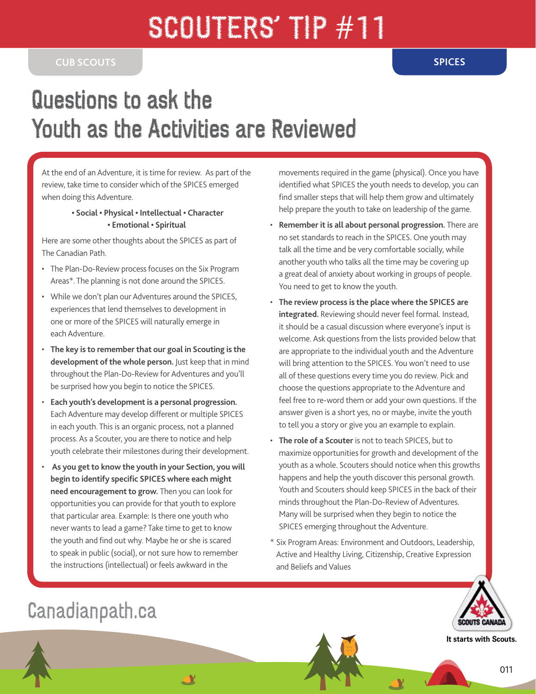## SCOUTERS' TIP #11

## Questions to ask the Youth as the Activities are Reviewed

At the end of an Adventure, it is time for review. As part of the review, take time to consider which of the SPICES emerged when doing this Adventure.

## **• Social • Physical • Intellectual • Character • Emotional • Spiritual**

Here are some other thoughts about the SPICES as part of The Canadian Path.

- The Plan-Do-Review process focuses on the Six Program Areas\*. The planning is not done around the SPICES.
- While we don't plan our Adventures around the SPICES, experiences that lend themselves to development in one or more of the SPICES will naturally emerge in each Adventure.
- **The key is to remember that our goal in Scouting is the development of the whole person.** Just keep that in mind throughout the Plan-Do-Review for Adventures and you'll be surprised how you begin to notice the SPICES.
- **Each youth's development is a personal progression.**  Each Adventure may develop different or multiple SPICES in each youth. This is an organic process, not a planned process. As a Scouter, you are there to notice and help youth celebrate their milestones during their development.
- • **As you get to know the youth in your Section, you will begin to identify specific SPICES where each might need encouragement to grow.** Then you can look for opportunities you can provide for that youth to explore that particular area. Example: Is there one youth who never wants to lead a game? Take time to get to know the youth and find out why. Maybe he or she is scared to speak in public (social), or not sure how to remember the instructions (intellectual) or feels awkward in the

<u>AY</u>

movements required in the game (physical). Once you have identified what SPICES the youth needs to develop, you can find smaller steps that will help them grow and ultimately help prepare the youth to take on leadership of the game.

- **Remember it is all about personal progression.** There are no set standards to reach in the SPICES. One youth may talk all the time and be very comfortable socially, while another youth who talks all the time may be covering up a great deal of anxiety about working in groups of people. You need to get to know the youth.
- **The review process is the place where the SPICES are integrated.** Reviewing should never feel formal. Instead, it should be a casual discussion where everyone's input is welcome. Ask questions from the lists provided below that are appropriate to the individual youth and the Adventure will bring attention to the SPICES. You won't need to use all of these questions every time you do review. Pick and choose the questions appropriate to the Adventure and feel free to re-word them or add your own questions. If the answer given is a short yes, no or maybe, invite the youth to tell you a story or give you an example to explain.
- **The role of a Scouter** is not to teach SPICES, but to maximize opportunities for growth and development of the youth as a whole. Scouters should notice when this growths happens and help the youth discover this personal growth. Youth and Scouters should keep SPICES in the back of their minds throughout the Plan-Do-Review of Adventures. Many will be surprised when they begin to notice the SPICES emerging throughout the Adventure.
- \* Six Program Areas: Environment and Outdoors, Leadership, Active and Healthy Living, Citizenship, Creative Expression and Beliefs and Values



**It starts with Scouts.**

## Canadianpath.ca